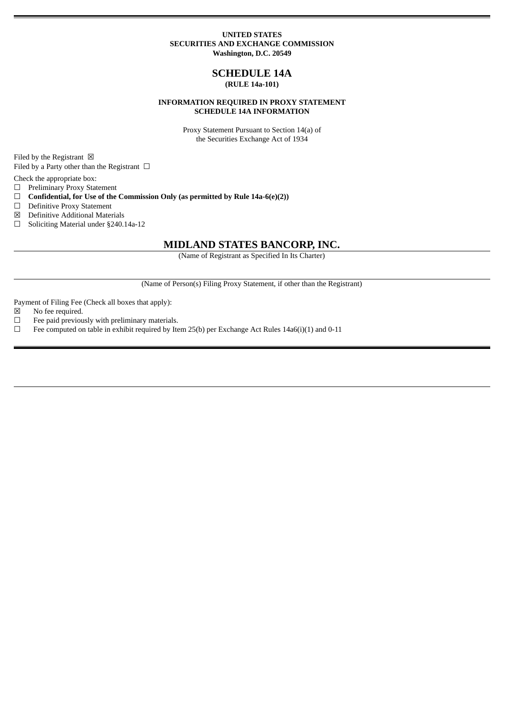#### **UNITED STATES SECURITIES AND EXCHANGE COMMISSION Washington, D.C. 20549**

### **SCHEDULE 14A (RULE 14a-101)**

### **INFORMATION REQUIRED IN PROXY STATEMENT SCHEDULE 14A INFORMATION**

Proxy Statement Pursuant to Section 14(a) of the Securities Exchange Act of 1934

Filed by the Registrant  $\boxtimes$ 

Filed by a Party other than the Registrant  $\Box$ 

Check the appropriate box:

☐ Preliminary Proxy Statement

☐ **Confidential, for Use of the Commission Only (as permitted by Rule 14a-6(e)(2))**

□ Definitive Proxy Statement

☒ Definitive Additional Materials

☐ Soliciting Material under §240.14a-12

## **MIDLAND STATES BANCORP, INC.**

(Name of Registrant as Specified In Its Charter)

(Name of Person(s) Filing Proxy Statement, if other than the Registrant)

Payment of Filing Fee (Check all boxes that apply):

- ☒ No fee required.
- $□$  Fee paid previously with preliminary materials.
- □ Fee computed on table in exhibit required by Item 25(b) per Exchange Act Rules 14a6(i)(1) and 0-11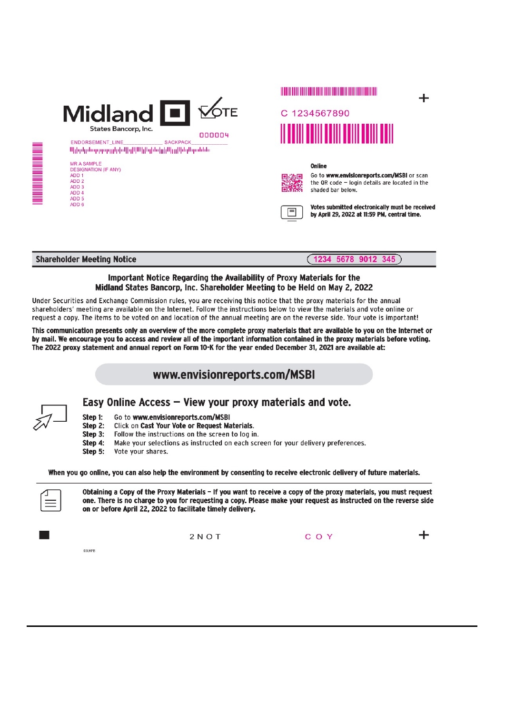| <b>Midland</b>                                    |                 | <b>TE</b> |
|---------------------------------------------------|-----------------|-----------|
| States Bancorp, Inc.                              |                 |           |
| ENDORSEMENT LINE                                  | <b>SACKPACK</b> | nnnnu     |
| Սիիզմյանագորոգորիցին[իզ]ՍՍԵլ միներ լզ ՍինգՍդանննա |                 |           |
| <b>MR A SAMPLE</b>                                |                 |           |
|                                                   |                 |           |
| <b>DESIGNATION (IF ANY)</b>                       |                 |           |
| ADD <sub>1</sub>                                  |                 |           |
| ADD <sub>2</sub>                                  |                 |           |
| ADD <sub>3</sub>                                  |                 |           |
| ADD <sub>4</sub>                                  |                 |           |
| ADD <sub>5</sub>                                  |                 |           |



#### Online



Go to www.envisionreports.com/MSBI or scan the QR code - login details are located in the shaded bar below.

╇



Votes submitted electronically must be received by April 29, 2022 at 11:59 PM, central time.

**Shareholder Meeting Notice** 

# $(1234 5678 9012 345)$

### Important Notice Regarding the Availability of Proxy Materials for the Midland States Bancorp, Inc. Shareholder Meeting to be Held on May 2, 2022

Under Securities and Exchange Commission rules, you are receiving this notice that the proxy materials for the annual shareholders' meeting are available on the Internet. Follow the instructions below to view the materials and vote online or request a copy. The items to be voted on and location of the annual meeting are on the reverse side. Your vote is important!

This communication presents only an overview of the more complete proxy materials that are available to you on the Internet or by mail. We encourage you to access and review all of the important information contained in the proxy materials before voting. The 2022 proxy statement and annual report on Form 10-K for the year ended December 31, 2021 are available at:

# www.envisionreports.com/MSBI

i in de la propieta de la construction de la construction de la construction de la construction de la construc

# Easy Online Access - View your proxy materials and vote.

- Go to www.envisionreports.com/MSBI Step 1:
- Step 2: Click on Cast Your Vote or Request Materials.
- Step 3: Follow the instructions on the screen to log in.
- Make your selections as instructed on each screen for your delivery preferences. Step 4:
- Step 5: Vote your shares.

When you go online, you can also help the environment by consenting to receive electronic delivery of future materials.



Obtaining a Copy of the Proxy Materials - If you want to receive a copy of the proxy materials, you must request one. There is no charge to you for requesting a copy. Please make your request as instructed on the reverse side on or before April 22, 2022 to facilitate timely delivery.

 $2 N O T$ 

C O Y

03LKPE